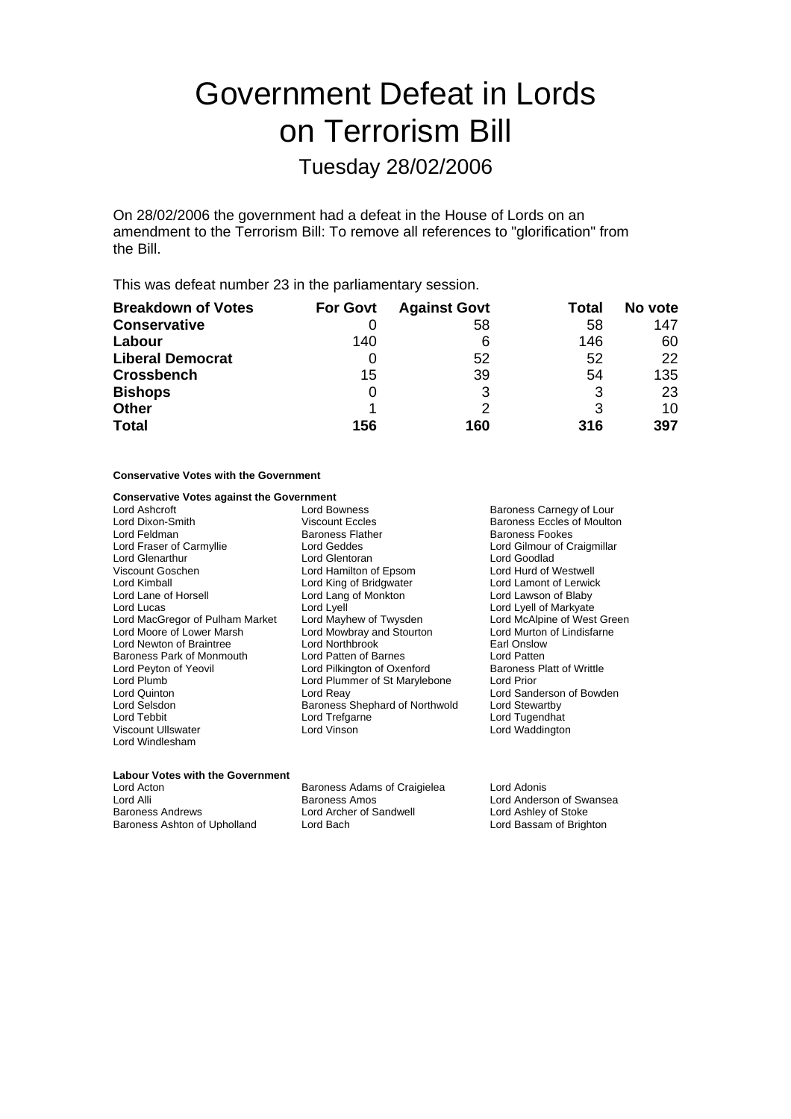# Government Defeat in Lords on Terrorism Bill

### Tuesday 28/02/2006

On 28/02/2006 the government had a defeat in the House of Lords on an amendment to the Terrorism Bill: To remove all references to "glorification" from the Bill.

This was defeat number 23 in the parliamentary session.

| <b>Breakdown of Votes</b> | <b>For Govt</b> | <b>Against Govt</b> | Total | No vote |
|---------------------------|-----------------|---------------------|-------|---------|
| <b>Conservative</b>       |                 | 58                  | 58    | 147     |
| Labour                    | 140             | 6                   | 146   | 60      |
| <b>Liberal Democrat</b>   |                 | 52                  | 52    | 22      |
| <b>Crossbench</b>         | 15              | 39                  | 54    | 135     |
| <b>Bishops</b>            |                 | 3                   | 3     | 23      |
| <b>Other</b>              |                 |                     | 3     | 10      |
| <b>Total</b>              | 156             | 160                 | 316   | 397     |

### **Conservative Votes with the Government**

#### **Conservative Votes against the Government**

| Lord Ashcroft                   | Lord Bowness                   | <b>Baroness</b>   |
|---------------------------------|--------------------------------|-------------------|
| Lord Dixon-Smith                | <b>Viscount Eccles</b>         | Baroness          |
| Lord Feldman                    | <b>Baroness Flather</b>        | <b>Baroness</b>   |
| Lord Fraser of Carmyllie        | Lord Geddes                    | Lord Gilmo        |
| <b>Lord Glenarthur</b>          | Lord Glentoran                 | Lord Good         |
| Viscount Goschen                | Lord Hamilton of Epsom         | Lord Hurd         |
| Lord Kimball                    | Lord King of Bridgwater        | Lord Lamo         |
| Lord Lane of Horsell            | Lord Lang of Monkton           | Lord Laws         |
| Lord Lucas                      | Lord Lyell                     | Lord Lyell        |
| Lord MacGregor of Pulham Market | Lord Mayhew of Twysden         | Lord McAl         |
| Lord Moore of Lower Marsh       | Lord Mowbray and Stourton      | <b>Lord Murto</b> |
| Lord Newton of Braintree        | Lord Northbrook                | Earl Onslo        |
| Baroness Park of Monmouth       | Lord Patten of Barnes          | <b>Lord Patte</b> |
| Lord Peyton of Yeovil           | Lord Pilkington of Oxenford    | Baroness          |
| Lord Plumb                      | Lord Plummer of St Marylebone  | Lord Prior        |
| Lord Quinton                    | Lord Reay                      | Lord Sand         |
| Lord Selsdon                    | Baroness Shephard of Northwold | Lord Stewa        |
| Lord Tebbit                     | Lord Trefgarne                 | Lord Tuge         |
| Viscount Ullswater              | Lord Vinson                    | Lord Wadd         |
| Lord Windlesham                 |                                |                   |

Baroness Carnegy of Lour Baroness Eccles of Moulton Baroness Fookes Lord Gilmour of Craigmillar Lord Goodlad Lord Hurd of Westwell Lord Lamont of Lerwick Lord Lawson of Blaby Lord Lyell of Markyate Lord McAlpine of West Green Lord Murton of Lindisfarne Earl Onslow Lord Patten Baroness Platt of Writtle<br>Lord Prior Lord Sanderson of Bowden Lord Stewartby Lord Tugendhat Lord Waddington

## **Labour Votes with the Government**

Lord Alli Lord Anderson of Swansea<br>
Baroness Andrews Lord Archer of Sandwell<br>
Lord Ashley of Stoke<br>
Lord Ashley of Stoke Baroness Ashton of Upholland

Lord Acton Baroness Adams of Craigielea Lord Adonis

Lord Archer of Sandwell Lord Ashley of Stoke<br>
Lord Bach<br>
Lord Bassam of Brighton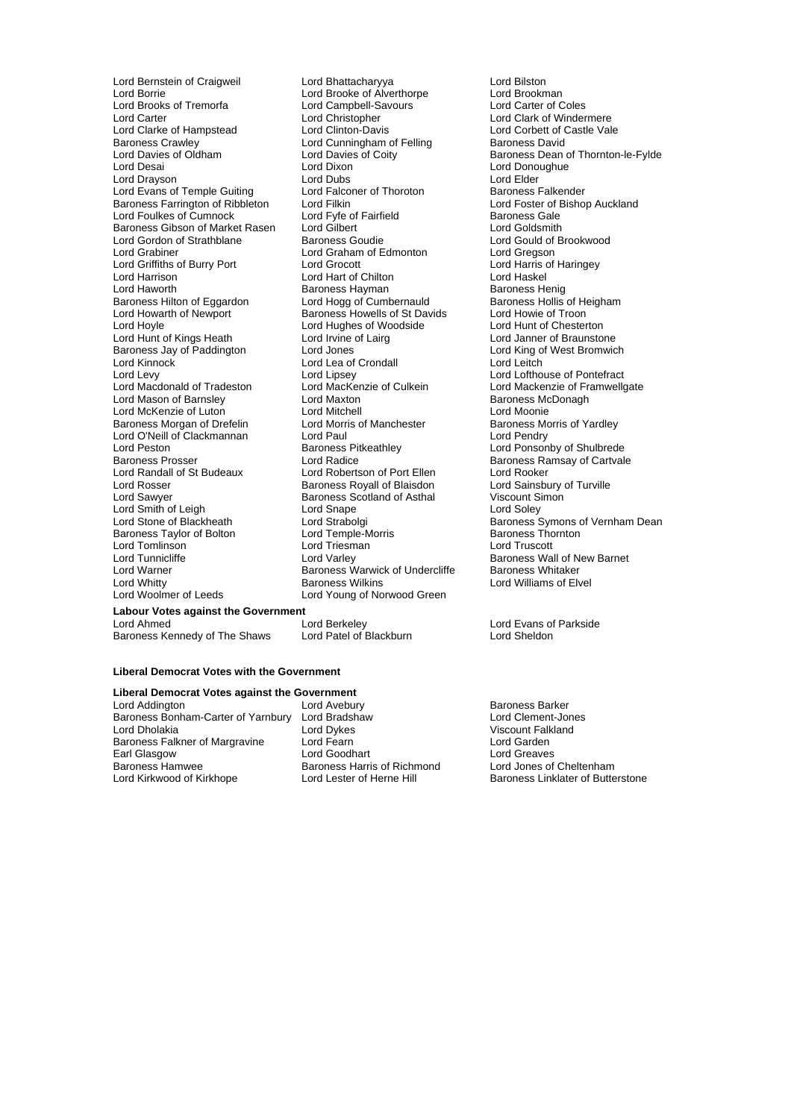Lord Borrie Lord Brooke of Alverthorpe Lord Brookman Lord Brooks of Tremorfa Lord Campbell-Savours<br>
Lord Carter Coles Lord Christopher Lord Carter Lord Christopher Lord Christopher Lord Clark of Windermere<br>
Lord Clarke of Hampstead Lord Clinton-Davis Lord Corbett of Castle Val Lord Clarke of Hampstead Lord Clinton-Davis Lord Corbett of Castle Vale<br>
Lord Cunningham of Felling Baroness David Baroness Crawley **Lord Cunningham of Felling**<br>
Lord Davies of Oldham Lord Davies of Coity Lord Drayson Lord Dubs Lord Elder Lord Evans of Temple Guiting Lord Falconer of Thoroton **Baroness Falkender**<br>Baroness Farrington of Ribbleton Lord Filkin **Baroness Falkender** Bishop Auckland Baroness Farrington of Ribbleton Lord Filkin Lord Farrington of Ribbleton Lord Foster of I<br>
Lord Foulkes of Cumnock Lord Fvfe of Fairfield Care Baroness Gale Lord Foulkes of Cumnock Lord Fyfe of Fairfield<br>
Baroness Gibson of Market Rasen Lord Gilbert Cumpus Lord Goldsmith Baroness Gibson of Market Rasen Lord Gilbert<br>Lord Gordon of Strathblane Baroness Goudie Lord Grabiner **Lord Graham of Edmonton** Lord Gregson<br>
Lord Griffiths of Burry Port **Lord Grocott** Lord Grocott **Lord Harris of Haringey** Lord Griffiths of Burry Port Lord Grocott Lord Critics and Lord Harris control and Harris of Chilton Lord Harris of Lord Haskel Lord Harrison Lord Hart of Chilton Lord Haskel<br>
Lord Haworth Baroness Havman Baroness Henig Baroness Hilton of Eggardon Lord Hogg of Cumbernauld Baroness Hollis of Heigham Lord Howarth of Newport Baroness Howells of St Davids Lord Howie of Troon Lord Howarth of Newport Baroness Howells of St Davids Lord Howie of Troon<br>
Lord Hoyle Lord Hughes of Woodside Lord Hunt of Chesterton Lord Hunt of Kings Heath Lord Irvine of Lairg Lord Janner of Braunstone Baroness Jay of Paddington Lord Jones<br>
Lord Kinnock Lord Lord Lea of Crondall<br>
Lord Lord Leitch Lord Kinnock Lord Lea of Crondall<br>
Lord Levy Lord Lipsey Lord Levy<br>
Lord Lord Lipsey Lord Culkein Lord Lofthouse of Pontefract<br>
Lord Mackenzie of Culkein Lord Mackenzie of Lord Mackenzie of Framwello Lord Mason of Barnsley **Lord Maxton Control Control Control** Baroness Mc<br>
Lord McKenzie of Luton **Baronagh Baroness McDonagh Control Control Control Control Control Control Control Contro** Lord McKenzie of Luton<br>Baroness Morgan of Drefelin Lord Morris of Manchester Baroness Morgan of Drefelin Lord Morris of Manchester Baroness Morris of Yardley<br>
Lord O'Neill of Clackmannan Lord Paul<br>
Lord Pendry Lord O'Neill of Clackmannan Lord Paul<br>Lord Peston Clackmannan Baroness Pitkeathlev Lord Peston Baroness Pitkeathley Lord Ponsonby of Shulbrede Lord Randall of St Budeaux Lord Robertson of Port Ellen Lord Rooker<br>
Lord Rosser Cord Rosser Baroness Royall of Blaisdon Lord Sainsbury of Turville Lord Rosser **Baroness Royall of Blaisdon** Lord Sainsbury (Lord Sainsbury of Baroness Royall of Asthal Turville Co<br>Lord Sawyer **Curville State Controller State Controller** State Controller State Baroness Scotland of Asthal Lord Smith of Leigh Lord Snape<br>
Lord Stone of Blackheath Lord Strabo Baroness Taylor of Bolton Lord Temple-Morris **Baroness Thornton Corporation**<br>
Lord Tornton Lord Triesman<br>
Lord Tornton Lord Triesman Lord Tomlinson<br>Lord Tunnicliffe Lord Tunnicliffe **Lord Varley Community** Baroness Wall of New Barnet<br>Lord Warner **Lord Varley Baroness Warwick of Undercliffe** Baroness Whitaker Lord Warner **Baroness Warwick of Undercliffe**<br>
Baroness Wilkins<br>
Baroness Wilkins

Lord Bernstein of Craigweil **Lord Bhattacharyya** Lord Bilston<br>
Lord Booke of Alverthorpe Lord Brookman<br>
Lord Brookman Lord Dixon Lord Donoughue<br>
Lord Dubs Lord Elder Baroness Hayman<br>
Lord Hogg of Cumbernauld
Baroness Hollis of Heigham Lord Hughes of Woodside<br>Lord Irvine of Lairg Lord Radice<br>
Lord Robertson of Port Ellen<br>
Lord Rooker<br>
Lord Rooker Baroness Scotland of Asthal Lord Woolmer of Leeds Lord Young of Norwood Green

Lord Davies of Oldham Lord Davies of Coity<br>
Lord Davies of Coity<br>
Lord Dixon Lord Donoughue<br>
Lord Donoughue<br>
Lord Donoughue Lord Gould of Brookwood Lord MacKenzie of Culkein Lord Mackenzie of Framwellgate<br>Lord Maxton Lord Mackenzie Baroness McDonagh Lord Stone of Blackheath Lord Strabolgi Baroness Symons of Vernham Dean Lord Williams of Elvel

Lord Berkeley Lord Evans of Parkside<br>
Lord Patel of Blackburn Lord Sheldon

#### **Liberal Democrat Votes with the Government**

**Labour Votes against the Government**

**Liberal Democrat Votes against the Government** Baroness Bonham-Carter of Yarnbury Lord Dholakia **Lord Dykes** Lord Dykes **Lord Dynamic Corporation** Viscount Falkland<br>
Baroness Falkner of Margravine Lord Fearn **Lord Corporation** Lord Garden Baroness Falkner of Margravine Lord Fearn Lord Team Lord Carden<br>
Lord Garden Lord Goodhart Lord Goreaves Earl Glasgow Lord Goodhart Lord Greaves<br>
Baroness Hammer Baroness Harris of Richmond Lord Jones of Cheltenham Baroness Hamwee Baroness Harris of Richmond<br>
Lord Kirkwood of Kirkhope Lord Lester of Herne Hill

Baroness Kennedy of The Shaws

Lord Avebury **Baroness Barker**<br> **Lord Bradshaw Baroness Barker**<br>
Lord Clement-Jones

Lord Lester of Herne Hill Baroness Linklater of Butterstone